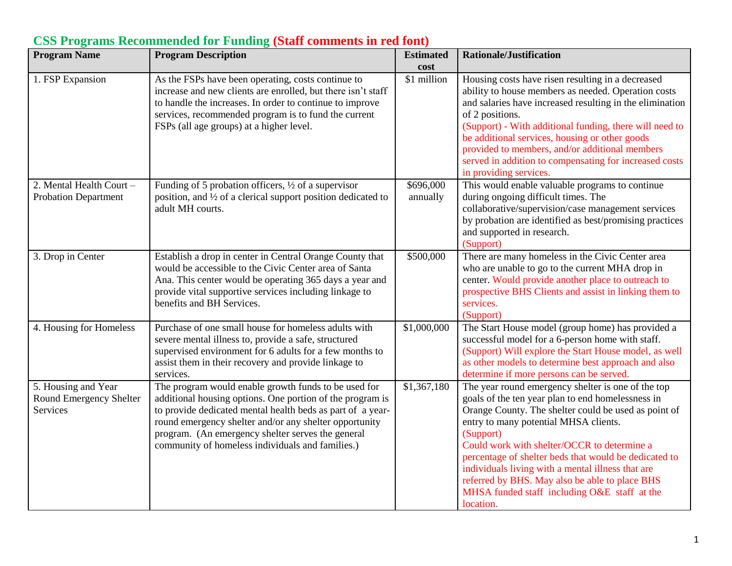| <b>Program Name</b>                                        | <b>Program Description</b>                                                                                                                                                                                                                                                                                                                         | <b>Estimated</b><br>cost | <b>Rationale/Justification</b>                                                                                                                                                                                                                                                                                                                                                                                                                                                                    |
|------------------------------------------------------------|----------------------------------------------------------------------------------------------------------------------------------------------------------------------------------------------------------------------------------------------------------------------------------------------------------------------------------------------------|--------------------------|---------------------------------------------------------------------------------------------------------------------------------------------------------------------------------------------------------------------------------------------------------------------------------------------------------------------------------------------------------------------------------------------------------------------------------------------------------------------------------------------------|
| 1. FSP Expansion                                           | As the FSPs have been operating, costs continue to<br>increase and new clients are enrolled, but there isn't staff<br>to handle the increases. In order to continue to improve<br>services, recommended program is to fund the current<br>FSPs (all age groups) at a higher level.                                                                 | \$1 million              | Housing costs have risen resulting in a decreased<br>ability to house members as needed. Operation costs<br>and salaries have increased resulting in the elimination<br>of 2 positions.<br>(Support) - With additional funding, there will need to<br>be additional services, housing or other goods<br>provided to members, and/or additional members<br>served in addition to compensating for increased costs<br>in providing services.                                                        |
| 2. Mental Health Court -<br><b>Probation Department</b>    | Funding of 5 probation officers, $\frac{1}{2}$ of a supervisor<br>position, and 1/2 of a clerical support position dedicated to<br>adult MH courts.                                                                                                                                                                                                | \$696,000<br>annually    | This would enable valuable programs to continue<br>during ongoing difficult times. The<br>collaborative/supervision/case management services<br>by probation are identified as best/promising practices<br>and supported in research.<br>(Support)                                                                                                                                                                                                                                                |
| 3. Drop in Center                                          | Establish a drop in center in Central Orange County that<br>would be accessible to the Civic Center area of Santa<br>Ana. This center would be operating 365 days a year and<br>provide vital supportive services including linkage to<br>benefits and BH Services.                                                                                | \$500,000                | There are many homeless in the Civic Center area<br>who are unable to go to the current MHA drop in<br>center. Would provide another place to outreach to<br>prospective BHS Clients and assist in linking them to<br>services.<br>(Support)                                                                                                                                                                                                                                                      |
| 4. Housing for Homeless                                    | Purchase of one small house for homeless adults with<br>severe mental illness to, provide a safe, structured<br>supervised environment for 6 adults for a few months to<br>assist them in their recovery and provide linkage to<br>services.                                                                                                       | \$1,000,000              | The Start House model (group home) has provided a<br>successful model for a 6-person home with staff.<br>(Support) Will explore the Start House model, as well<br>as other models to determine best approach and also<br>determine if more persons can be served.                                                                                                                                                                                                                                 |
| 5. Housing and Year<br>Round Emergency Shelter<br>Services | The program would enable growth funds to be used for<br>additional housing options. One portion of the program is<br>to provide dedicated mental health beds as part of a year-<br>round emergency shelter and/or any shelter opportunity<br>program. (An emergency shelter serves the general<br>community of homeless individuals and families.) | \$1,367,180              | The year round emergency shelter is one of the top<br>goals of the ten year plan to end homelessness in<br>Orange County. The shelter could be used as point of<br>entry to many potential MHSA clients.<br>(Support)<br>Could work with shelter/OCCR to determine a<br>percentage of shelter beds that would be dedicated to<br>individuals living with a mental illness that are<br>referred by BHS. May also be able to place BHS<br>MHSA funded staff including O&E staff at the<br>location. |

## **CSS Programs Recommended for Funding (Staff comments in red font)**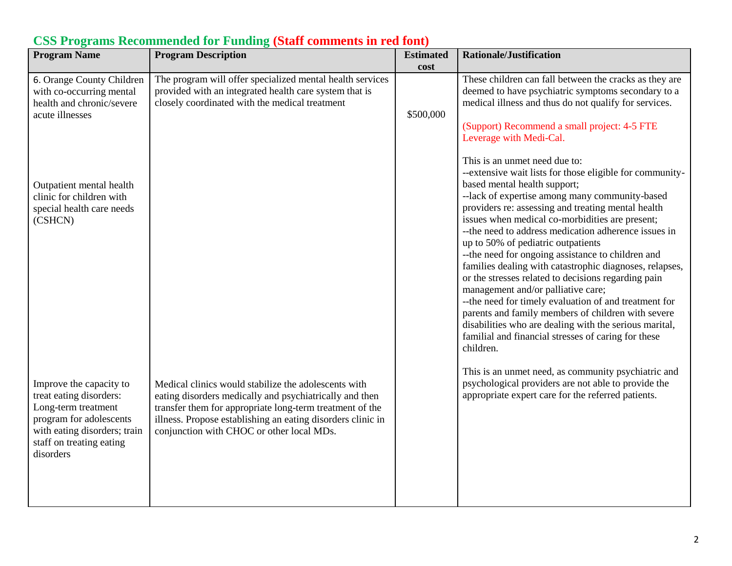| <b>Program Name</b>                                                                                                                                                           | <b>Program Description</b>                                                                                                                                                                                                                                                              | <b>Estimated</b><br>cost | <b>Rationale/Justification</b>                                                                                                                                                                                                                                                                                                                                                                                                                                                                                                                                                                                                                                                                                                                                                                                                     |
|-------------------------------------------------------------------------------------------------------------------------------------------------------------------------------|-----------------------------------------------------------------------------------------------------------------------------------------------------------------------------------------------------------------------------------------------------------------------------------------|--------------------------|------------------------------------------------------------------------------------------------------------------------------------------------------------------------------------------------------------------------------------------------------------------------------------------------------------------------------------------------------------------------------------------------------------------------------------------------------------------------------------------------------------------------------------------------------------------------------------------------------------------------------------------------------------------------------------------------------------------------------------------------------------------------------------------------------------------------------------|
| 6. Orange County Children<br>with co-occurring mental<br>health and chronic/severe<br>acute illnesses                                                                         | The program will offer specialized mental health services<br>provided with an integrated health care system that is<br>closely coordinated with the medical treatment                                                                                                                   | \$500,000                | These children can fall between the cracks as they are<br>deemed to have psychiatric symptoms secondary to a<br>medical illness and thus do not qualify for services.<br>(Support) Recommend a small project: 4-5 FTE<br>Leverage with Medi-Cal.                                                                                                                                                                                                                                                                                                                                                                                                                                                                                                                                                                                   |
| Outpatient mental health<br>clinic for children with<br>special health care needs<br>(CSHCN)                                                                                  |                                                                                                                                                                                                                                                                                         |                          | This is an unmet need due to:<br>--extensive wait lists for those eligible for community-<br>based mental health support;<br>--lack of expertise among many community-based<br>providers re: assessing and treating mental health<br>issues when medical co-morbidities are present;<br>-- the need to address medication adherence issues in<br>up to 50% of pediatric outpatients<br>-- the need for ongoing assistance to children and<br>families dealing with catastrophic diagnoses, relapses,<br>or the stresses related to decisions regarding pain<br>management and/or palliative care;<br>-- the need for timely evaluation of and treatment for<br>parents and family members of children with severe<br>disabilities who are dealing with the serious marital,<br>familial and financial stresses of caring for these |
| Improve the capacity to<br>treat eating disorders:<br>Long-term treatment<br>program for adolescents<br>with eating disorders; train<br>staff on treating eating<br>disorders | Medical clinics would stabilize the adolescents with<br>eating disorders medically and psychiatrically and then<br>transfer them for appropriate long-term treatment of the<br>illness. Propose establishing an eating disorders clinic in<br>conjunction with CHOC or other local MDs. |                          | children.<br>This is an unmet need, as community psychiatric and<br>psychological providers are not able to provide the<br>appropriate expert care for the referred patients.                                                                                                                                                                                                                                                                                                                                                                                                                                                                                                                                                                                                                                                      |

## **CSS Programs Recommended for Funding (Staff comments in red font)**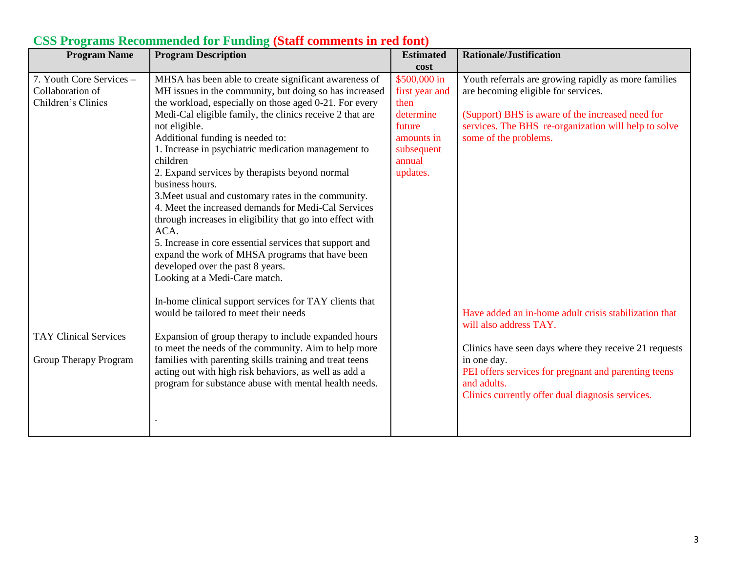| <b>Program Name</b>          | <b>Program Description</b>                                | <b>Estimated</b> | <b>Rationale/Justification</b>                        |
|------------------------------|-----------------------------------------------------------|------------------|-------------------------------------------------------|
|                              |                                                           | cost             |                                                       |
| 7. Youth Core Services -     | MHSA has been able to create significant awareness of     | $$500,000$ in    | Youth referrals are growing rapidly as more families  |
| Collaboration of             | MH issues in the community, but doing so has increased    | first year and   | are becoming eligible for services.                   |
| Children's Clinics           | the workload, especially on those aged 0-21. For every    | then             |                                                       |
|                              | Medi-Cal eligible family, the clinics receive 2 that are  | determine        | (Support) BHS is aware of the increased need for      |
|                              | not eligible.                                             | future           | services. The BHS re-organization will help to solve  |
|                              | Additional funding is needed to:                          | amounts in       | some of the problems.                                 |
|                              | 1. Increase in psychiatric medication management to       | subsequent       |                                                       |
|                              | children                                                  | annual           |                                                       |
|                              | 2. Expand services by therapists beyond normal            | updates.         |                                                       |
|                              | business hours.                                           |                  |                                                       |
|                              | 3. Meet usual and customary rates in the community.       |                  |                                                       |
|                              | 4. Meet the increased demands for Medi-Cal Services       |                  |                                                       |
|                              | through increases in eligibility that go into effect with |                  |                                                       |
|                              | ACA.                                                      |                  |                                                       |
|                              | 5. Increase in core essential services that support and   |                  |                                                       |
|                              | expand the work of MHSA programs that have been           |                  |                                                       |
|                              | developed over the past 8 years.                          |                  |                                                       |
|                              | Looking at a Medi-Care match.                             |                  |                                                       |
|                              |                                                           |                  |                                                       |
|                              | In-home clinical support services for TAY clients that    |                  |                                                       |
|                              | would be tailored to meet their needs                     |                  | Have added an in-home adult crisis stabilization that |
|                              |                                                           |                  | will also address TAY.                                |
| <b>TAY Clinical Services</b> | Expansion of group therapy to include expanded hours      |                  |                                                       |
|                              | to meet the needs of the community. Aim to help more      |                  | Clinics have seen days where they receive 21 requests |
| Group Therapy Program        | families with parenting skills training and treat teens   |                  | in one day.                                           |
|                              | acting out with high risk behaviors, as well as add a     |                  | PEI offers services for pregnant and parenting teens  |
|                              | program for substance abuse with mental health needs.     |                  | and adults.                                           |
|                              |                                                           |                  | Clinics currently offer dual diagnosis services.      |
|                              |                                                           |                  |                                                       |
|                              |                                                           |                  |                                                       |
|                              |                                                           |                  |                                                       |

# **CSS Programs Recommended for Funding (Staff comments in red font)**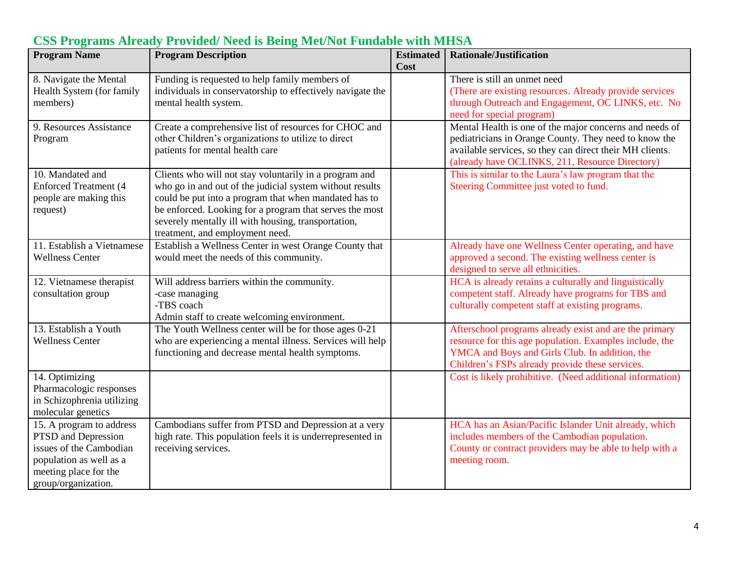| <b>Program Name</b>                                                                                                                                   | <b>Program Description</b>                                                                                                                                                                                                                                                                                                       | <b>Estimated</b> | <b>Rationale/Justification</b>                                                                                                                                                                                                  |
|-------------------------------------------------------------------------------------------------------------------------------------------------------|----------------------------------------------------------------------------------------------------------------------------------------------------------------------------------------------------------------------------------------------------------------------------------------------------------------------------------|------------------|---------------------------------------------------------------------------------------------------------------------------------------------------------------------------------------------------------------------------------|
|                                                                                                                                                       |                                                                                                                                                                                                                                                                                                                                  | Cost             |                                                                                                                                                                                                                                 |
| 8. Navigate the Mental<br>Health System (for family<br>members)                                                                                       | Funding is requested to help family members of<br>individuals in conservatorship to effectively navigate the<br>mental health system.                                                                                                                                                                                            |                  | There is still an unmet need<br>(There are existing resources. Already provide services)<br>through Outreach and Engagement, OC LINKS, etc. No<br>need for special program)                                                     |
| 9. Resources Assistance<br>Program                                                                                                                    | Create a comprehensive list of resources for CHOC and<br>other Children's organizations to utilize to direct<br>patients for mental health care                                                                                                                                                                                  |                  | Mental Health is one of the major concerns and needs of<br>pediatricians in Orange County. They need to know the<br>available services, so they can direct their MH clients.<br>(already have OCLINKS, 211, Resource Directory) |
| 10. Mandated and<br><b>Enforced Treatment (4</b><br>people are making this<br>request)                                                                | Clients who will not stay voluntarily in a program and<br>who go in and out of the judicial system without results<br>could be put into a program that when mandated has to<br>be enforced. Looking for a program that serves the most<br>severely mentally ill with housing, transportation,<br>treatment, and employment need. |                  | This is similar to the Laura's law program that the<br>Steering Committee just voted to fund.                                                                                                                                   |
| 11. Establish a Vietnamese<br><b>Wellness Center</b>                                                                                                  | Establish a Wellness Center in west Orange County that<br>would meet the needs of this community.                                                                                                                                                                                                                                |                  | Already have one Wellness Center operating, and have<br>approved a second. The existing wellness center is<br>designed to serve all ethnicities.                                                                                |
| 12. Vietnamese therapist<br>consultation group                                                                                                        | Will address barriers within the community.<br>-case managing<br>-TBS coach<br>Admin staff to create welcoming environment.                                                                                                                                                                                                      |                  | HCA is already retains a culturally and linguistically<br>competent staff. Already have programs for TBS and<br>culturally competent staff at existing programs.                                                                |
| 13. Establish a Youth<br><b>Wellness Center</b>                                                                                                       | The Youth Wellness center will be for those ages 0-21<br>who are experiencing a mental illness. Services will help<br>functioning and decrease mental health symptoms.                                                                                                                                                           |                  | Afterschool programs already exist and are the primary<br>resource for this age population. Examples include, the<br>YMCA and Boys and Girls Club. In addition, the<br>Children's FSPs already provide these services.          |
| 14. Optimizing<br>Pharmacologic responses<br>in Schizophrenia utilizing<br>molecular genetics                                                         |                                                                                                                                                                                                                                                                                                                                  |                  | Cost is likely prohibitive. (Need additional information)                                                                                                                                                                       |
| 15. A program to address<br>PTSD and Depression<br>issues of the Cambodian<br>population as well as a<br>meeting place for the<br>group/organization. | Cambodians suffer from PTSD and Depression at a very<br>high rate. This population feels it is underrepresented in<br>receiving services.                                                                                                                                                                                        |                  | HCA has an Asian/Pacific Islander Unit already, which<br>includes members of the Cambodian population.<br>County or contract providers may be able to help with a<br>meeting room.                                              |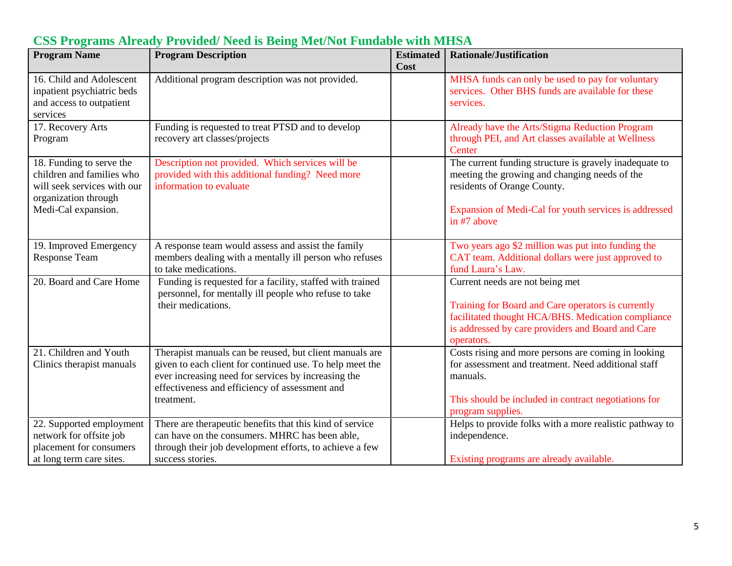| <b>Program Name</b>                                                                                                                 | <b>Program Description</b>                                                                                                                                                                                                                 | <b>Estimated</b><br>Cost | <b>Rationale/Justification</b>                                                                                                                                                                                 |
|-------------------------------------------------------------------------------------------------------------------------------------|--------------------------------------------------------------------------------------------------------------------------------------------------------------------------------------------------------------------------------------------|--------------------------|----------------------------------------------------------------------------------------------------------------------------------------------------------------------------------------------------------------|
| 16. Child and Adolescent<br>inpatient psychiatric beds<br>and access to outpatient<br>services                                      | Additional program description was not provided.                                                                                                                                                                                           |                          | MHSA funds can only be used to pay for voluntary<br>services. Other BHS funds are available for these<br>services.                                                                                             |
| 17. Recovery Arts<br>Program                                                                                                        | Funding is requested to treat PTSD and to develop<br>recovery art classes/projects                                                                                                                                                         |                          | Already have the Arts/Stigma Reduction Program<br>through PEI, and Art classes available at Wellness<br>Center                                                                                                 |
| 18. Funding to serve the<br>children and families who<br>will seek services with our<br>organization through<br>Medi-Cal expansion. | Description not provided. Which services will be<br>provided with this additional funding? Need more<br>information to evaluate                                                                                                            |                          | The current funding structure is gravely inadequate to<br>meeting the growing and changing needs of the<br>residents of Orange County.<br>Expansion of Medi-Cal for youth services is addressed<br>in #7 above |
| 19. Improved Emergency<br>Response Team                                                                                             | A response team would assess and assist the family<br>members dealing with a mentally ill person who refuses<br>to take medications.                                                                                                       |                          | Two years ago \$2 million was put into funding the<br>CAT team. Additional dollars were just approved to<br>fund Laura's Law.                                                                                  |
| 20. Board and Care Home                                                                                                             | Funding is requested for a facility, staffed with trained<br>personnel, for mentally ill people who refuse to take<br>their medications.                                                                                                   |                          | Current needs are not being met<br>Training for Board and Care operators is currently<br>facilitated thought HCA/BHS. Medication compliance<br>is addressed by care providers and Board and Care<br>operators. |
| 21. Children and Youth<br>Clinics therapist manuals                                                                                 | Therapist manuals can be reused, but client manuals are<br>given to each client for continued use. To help meet the<br>ever increasing need for services by increasing the<br>effectiveness and efficiency of assessment and<br>treatment. |                          | Costs rising and more persons are coming in looking<br>for assessment and treatment. Need additional staff<br>manuals.<br>This should be included in contract negotiations for<br>program supplies.            |
| 22. Supported employment<br>network for offsite job<br>placement for consumers<br>at long term care sites.                          | There are therapeutic benefits that this kind of service<br>can have on the consumers. MHRC has been able,<br>through their job development efforts, to achieve a few<br>success stories.                                                  |                          | Helps to provide folks with a more realistic pathway to<br>independence.<br>Existing programs are already available.                                                                                           |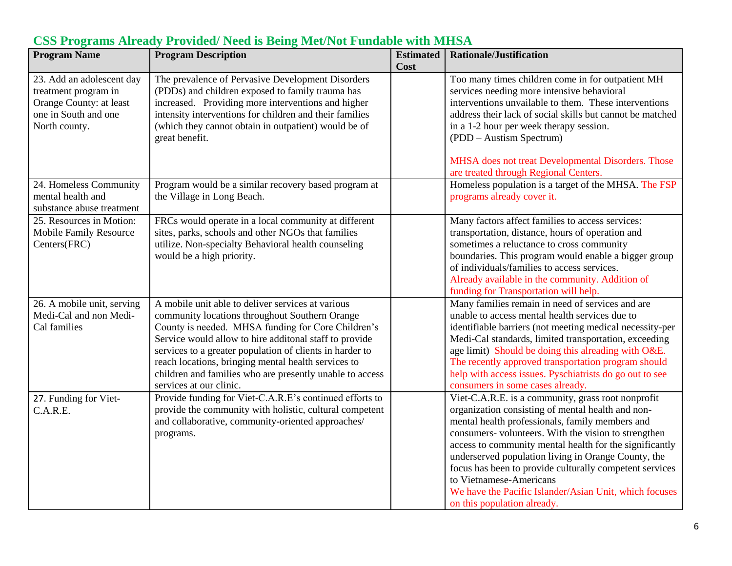| <b>Program Name</b>                                                                                                   | <b>Program Description</b>                                                                                                                                                                                                                                                                                                                                                                                                    | <b>Estimated</b><br>Cost | <b>Rationale/Justification</b>                                                                                                                                                                                                                                                                                                                                                                                                                                                                                      |
|-----------------------------------------------------------------------------------------------------------------------|-------------------------------------------------------------------------------------------------------------------------------------------------------------------------------------------------------------------------------------------------------------------------------------------------------------------------------------------------------------------------------------------------------------------------------|--------------------------|---------------------------------------------------------------------------------------------------------------------------------------------------------------------------------------------------------------------------------------------------------------------------------------------------------------------------------------------------------------------------------------------------------------------------------------------------------------------------------------------------------------------|
| 23. Add an adolescent day<br>treatment program in<br>Orange County: at least<br>one in South and one<br>North county. | The prevalence of Pervasive Development Disorders<br>(PDDs) and children exposed to family trauma has<br>increased. Providing more interventions and higher<br>intensity interventions for children and their families<br>(which they cannot obtain in outpatient) would be of<br>great benefit.                                                                                                                              |                          | Too many times children come in for outpatient MH<br>services needing more intensive behavioral<br>interventions unvailable to them. These interventions<br>address their lack of social skills but cannot be matched<br>in a 1-2 hour per week therapy session.<br>(PDD – Austism Spectrum)                                                                                                                                                                                                                        |
| 24. Homeless Community<br>mental health and<br>substance abuse treatment                                              | Program would be a similar recovery based program at<br>the Village in Long Beach.                                                                                                                                                                                                                                                                                                                                            |                          | MHSA does not treat Developmental Disorders. Those<br>are treated through Regional Centers.<br>Homeless population is a target of the MHSA. The FSP<br>programs already cover it.                                                                                                                                                                                                                                                                                                                                   |
| 25. Resources in Motion:<br>Mobile Family Resource<br>Centers(FRC)                                                    | FRCs would operate in a local community at different<br>sites, parks, schools and other NGOs that families<br>utilize. Non-specialty Behavioral health counseling<br>would be a high priority.                                                                                                                                                                                                                                |                          | Many factors affect families to access services:<br>transportation, distance, hours of operation and<br>sometimes a reluctance to cross community<br>boundaries. This program would enable a bigger group<br>of individuals/families to access services.<br>Already available in the community. Addition of<br>funding for Transportation will help.                                                                                                                                                                |
| 26. A mobile unit, serving<br>Medi-Cal and non Medi-<br>Cal families                                                  | A mobile unit able to deliver services at various<br>community locations throughout Southern Orange<br>County is needed. MHSA funding for Core Children's<br>Service would allow to hire additonal staff to provide<br>services to a greater population of clients in harder to<br>reach locations, bringing mental health services to<br>children and families who are presently unable to access<br>services at our clinic. |                          | Many families remain in need of services and are<br>unable to access mental health services due to<br>identifiable barriers (not meeting medical necessity-per<br>Medi-Cal standards, limited transportation, exceeding<br>age limit) Should be doing this alreading with O&E.<br>The recently approved transportation program should<br>help with access issues. Pyschiatrists do go out to see<br>consumers in some cases already.                                                                                |
| 27. Funding for Viet-<br>C.A.R.E.                                                                                     | Provide funding for Viet-C.A.R.E's continued efforts to<br>provide the community with holistic, cultural competent<br>and collaborative, community-oriented approaches/<br>programs.                                                                                                                                                                                                                                          |                          | Viet-C.A.R.E. is a community, grass root nonprofit<br>organization consisting of mental health and non-<br>mental health professionals, family members and<br>consumers- volunteers. With the vision to strengthen<br>access to community mental health for the significantly<br>underserved population living in Orange County, the<br>focus has been to provide culturally competent services<br>to Vietnamese-Americans<br>We have the Pacific Islander/Asian Unit, which focuses<br>on this population already. |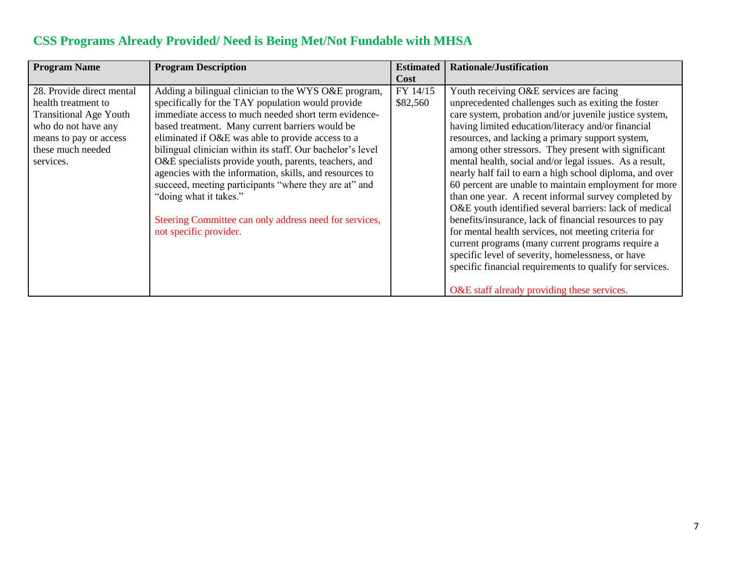| <b>Program Name</b>                                                                                                                                                  | <b>Program Description</b>                                                                                                                                                                                                                                                                                                                                                                                                                                                                                                                                                                                                         | <b>Estimated</b><br><b>Cost</b> | <b>Rationale/Justification</b>                                                                                                                                                                                                                                                                                                                                                                                                                                                                                                                                                                                                                                                                                                                                                                                                                                                                                                                                      |
|----------------------------------------------------------------------------------------------------------------------------------------------------------------------|------------------------------------------------------------------------------------------------------------------------------------------------------------------------------------------------------------------------------------------------------------------------------------------------------------------------------------------------------------------------------------------------------------------------------------------------------------------------------------------------------------------------------------------------------------------------------------------------------------------------------------|---------------------------------|---------------------------------------------------------------------------------------------------------------------------------------------------------------------------------------------------------------------------------------------------------------------------------------------------------------------------------------------------------------------------------------------------------------------------------------------------------------------------------------------------------------------------------------------------------------------------------------------------------------------------------------------------------------------------------------------------------------------------------------------------------------------------------------------------------------------------------------------------------------------------------------------------------------------------------------------------------------------|
| 28. Provide direct mental<br>health treatment to<br><b>Transitional Age Youth</b><br>who do not have any<br>means to pay or access<br>these much needed<br>services. | Adding a bilingual clinician to the WYS O&E program,<br>specifically for the TAY population would provide<br>immediate access to much needed short term evidence-<br>based treatment. Many current barriers would be<br>eliminated if O&E was able to provide access to a<br>bilingual clinician within its staff. Our bachelor's level<br>O&E specialists provide youth, parents, teachers, and<br>agencies with the information, skills, and resources to<br>succeed, meeting participants "where they are at" and<br>"doing what it takes."<br>Steering Committee can only address need for services,<br>not specific provider. | FY 14/15<br>\$82,560            | Youth receiving O&E services are facing<br>unprecedented challenges such as exiting the foster<br>care system, probation and/or juvenile justice system,<br>having limited education/literacy and/or financial<br>resources, and lacking a primary support system,<br>among other stressors. They present with significant<br>mental health, social and/or legal issues. As a result,<br>nearly half fail to earn a high school diploma, and over<br>60 percent are unable to maintain employment for more<br>than one year. A recent informal survey completed by<br>O&E youth identified several barriers: lack of medical<br>benefits/insurance, lack of financial resources to pay<br>for mental health services, not meeting criteria for<br>current programs (many current programs require a<br>specific level of severity, homelessness, or have<br>specific financial requirements to qualify for services.<br>O&E staff already providing these services. |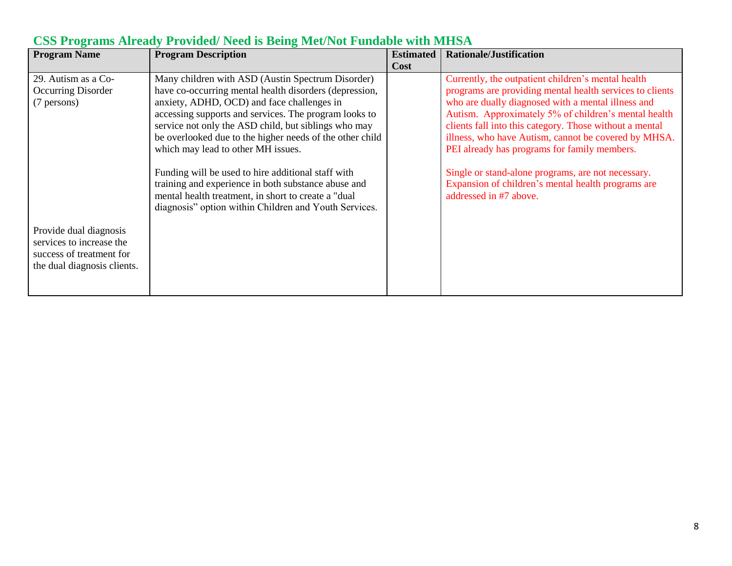| <b>Program Name</b>                                                                                           | <b>Program Description</b>                                                                                                                                                                                                                                                                                                                                                                                                                                                                                                                                                                                 | <b>Estimated</b><br>Cost | <b>Rationale/Justification</b>                                                                                                                                                                                                                                                                                                                                                                                                                                                                                                        |
|---------------------------------------------------------------------------------------------------------------|------------------------------------------------------------------------------------------------------------------------------------------------------------------------------------------------------------------------------------------------------------------------------------------------------------------------------------------------------------------------------------------------------------------------------------------------------------------------------------------------------------------------------------------------------------------------------------------------------------|--------------------------|---------------------------------------------------------------------------------------------------------------------------------------------------------------------------------------------------------------------------------------------------------------------------------------------------------------------------------------------------------------------------------------------------------------------------------------------------------------------------------------------------------------------------------------|
| 29. Autism as a Co-<br>Occurring Disorder<br>(7 persons)                                                      | Many children with ASD (Austin Spectrum Disorder)<br>have co-occurring mental health disorders (depression,<br>anxiety, ADHD, OCD) and face challenges in<br>accessing supports and services. The program looks to<br>service not only the ASD child, but siblings who may<br>be overlooked due to the higher needs of the other child<br>which may lead to other MH issues.<br>Funding will be used to hire additional staff with<br>training and experience in both substance abuse and<br>mental health treatment, in short to create a "dual"<br>diagnosis" option within Children and Youth Services. |                          | Currently, the outpatient children's mental health<br>programs are providing mental health services to clients<br>who are dually diagnosed with a mental illness and<br>Autism. Approximately 5% of children's mental health<br>clients fall into this category. Those without a mental<br>illness, who have Autism, cannot be covered by MHSA.<br>PEI already has programs for family members.<br>Single or stand-alone programs, are not necessary.<br>Expansion of children's mental health programs are<br>addressed in #7 above. |
| Provide dual diagnosis<br>services to increase the<br>success of treatment for<br>the dual diagnosis clients. |                                                                                                                                                                                                                                                                                                                                                                                                                                                                                                                                                                                                            |                          |                                                                                                                                                                                                                                                                                                                                                                                                                                                                                                                                       |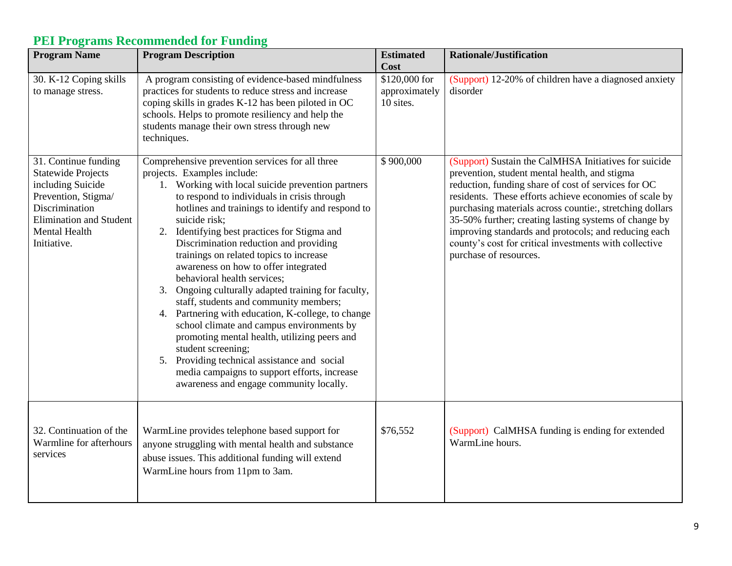#### **Program Name Program Description Estimated Estimated Cost Rationale/Justification** 30. K-12 Coping skills to manage stress. A program consisting of evidence-based mindfulness practices for students to reduce stress and increase coping skills in grades K-12 has been piloted in OC schools. Helps to promote resiliency and help the students manage their own stress through new techniques. \$120,000 for approximately 10 sites. (Support) 12-20% of children have a diagnosed anxiety disorder 31. Continue funding Statewide Projects including Suicide Prevention, Stigma/ Discrimination Elimination and Student Mental Health Initiative. Comprehensive prevention services for all three projects. Examples include: 1. Working with local suicide prevention partners to respond to individuals in crisis through hotlines and trainings to identify and respond to suicide risk; 2. Identifying best practices for Stigma and Discrimination reduction and providing trainings on related topics to increase awareness on how to offer integrated behavioral health services; 3. Ongoing culturally adapted training for faculty, staff, students and community members; 4. Partnering with education, K-college, to change school climate and campus environments by promoting mental health, utilizing peers and student screening; 5. Providing technical assistance and social media campaigns to support efforts, increase awareness and engage community locally. \$ 900,000 (Support) Sustain the CalMHSA Initiatives for suicide prevention, student mental health, and stigma reduction, funding share of cost of services for OC residents. These efforts achieve economies of scale by purchasing materials across countie:, stretching dollars 35-50% further; creating lasting systems of change by improving standards and protocols; and reducing each county's cost for critical investments with collective purchase of resources. 32. Continuation of the Warmline for afterhours services WarmLine provides telephone based support for anyone struggling with mental health and substance abuse issues. This additional funding will extend WarmLine hours from 11pm to 3am. \$76,552 (Support) CalMHSA funding is ending for extended WarmLine hours.

#### **PEI Programs Recommended for Funding**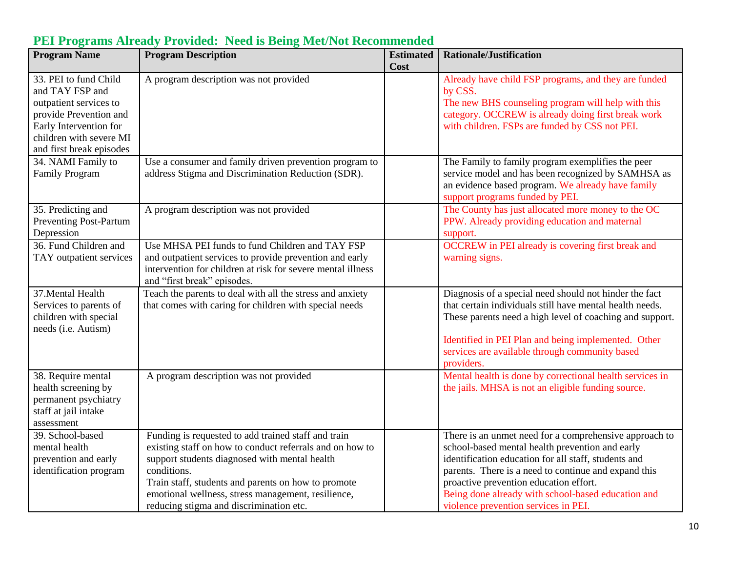| <b>Program Name</b>           | <b>Program Description</b>                                  | <b>Estimated</b> | <b>Rationale/Justification</b>                           |
|-------------------------------|-------------------------------------------------------------|------------------|----------------------------------------------------------|
|                               |                                                             | Cost             |                                                          |
| 33. PEI to fund Child         | A program description was not provided                      |                  | Already have child FSP programs, and they are funded     |
| and TAY FSP and               |                                                             |                  | by CSS.                                                  |
| outpatient services to        |                                                             |                  | The new BHS counseling program will help with this       |
| provide Prevention and        |                                                             |                  | category. OCCREW is already doing first break work       |
| Early Intervention for        |                                                             |                  | with children. FSPs are funded by CSS not PEI.           |
| children with severe MI       |                                                             |                  |                                                          |
| and first break episodes      |                                                             |                  |                                                          |
| 34. NAMI Family to            | Use a consumer and family driven prevention program to      |                  | The Family to family program exemplifies the peer        |
| <b>Family Program</b>         | address Stigma and Discrimination Reduction (SDR).          |                  | service model and has been recognized by SAMHSA as       |
|                               |                                                             |                  | an evidence based program. We already have family        |
|                               |                                                             |                  | support programs funded by PEI.                          |
| 35. Predicting and            | A program description was not provided                      |                  | The County has just allocated more money to the OC       |
| <b>Preventing Post-Partum</b> |                                                             |                  | PPW. Already providing education and maternal            |
| Depression                    |                                                             |                  | support.                                                 |
| 36. Fund Children and         | Use MHSA PEI funds to fund Children and TAY FSP             |                  | <b>OCCREW</b> in PEI already is covering first break and |
| TAY outpatient services       | and outpatient services to provide prevention and early     |                  | warning signs.                                           |
|                               | intervention for children at risk for severe mental illness |                  |                                                          |
|                               | and "first break" episodes.                                 |                  |                                                          |
| 37. Mental Health             | Teach the parents to deal with all the stress and anxiety   |                  | Diagnosis of a special need should not hinder the fact   |
| Services to parents of        | that comes with caring for children with special needs      |                  | that certain individuals still have mental health needs. |
| children with special         |                                                             |                  | These parents need a high level of coaching and support. |
| needs (i.e. Autism)           |                                                             |                  |                                                          |
|                               |                                                             |                  | Identified in PEI Plan and being implemented. Other      |
|                               |                                                             |                  | services are available through community based           |
|                               |                                                             |                  | providers.                                               |
| 38. Require mental            | A program description was not provided                      |                  | Mental health is done by correctional health services in |
| health screening by           |                                                             |                  | the jails. MHSA is not an eligible funding source.       |
| permanent psychiatry          |                                                             |                  |                                                          |
| staff at jail intake          |                                                             |                  |                                                          |
| assessment                    |                                                             |                  |                                                          |
| 39. School-based              | Funding is requested to add trained staff and train         |                  | There is an unmet need for a comprehensive approach to   |
| mental health                 | existing staff on how to conduct referrals and on how to    |                  | school-based mental health prevention and early          |
| prevention and early          | support students diagnosed with mental health               |                  | identification education for all staff, students and     |
| identification program        | conditions.                                                 |                  | parents. There is a need to continue and expand this     |
|                               | Train staff, students and parents on how to promote         |                  | proactive prevention education effort.                   |
|                               | emotional wellness, stress management, resilience,          |                  | Being done already with school-based education and       |
|                               | reducing stigma and discrimination etc.                     |                  | violence prevention services in PEI.                     |

## **PEI Programs Already Provided: Need is Being Met/Not Recommended**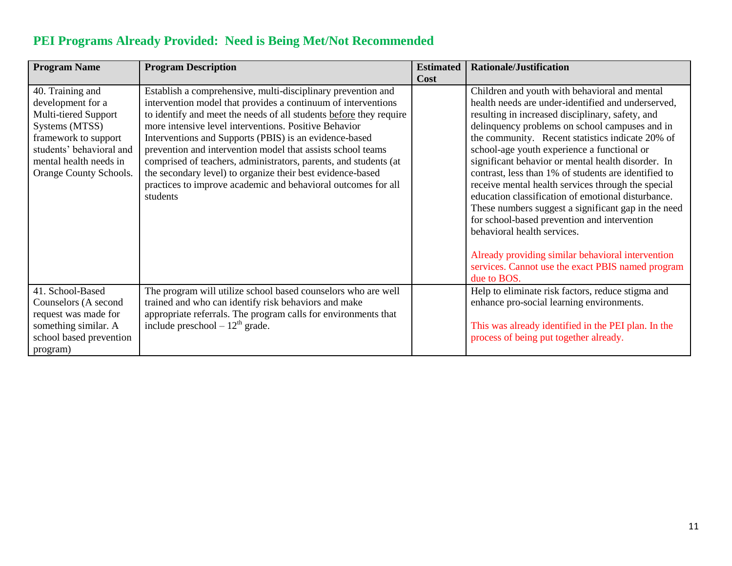|  | <b>PEI Programs Already Provided: Need is Being Met/Not Recommended</b> |
|--|-------------------------------------------------------------------------|
|  |                                                                         |

| <b>Program Name</b>                                                                                                                                                                     | <b>Program Description</b>                                                                                                                                                                                                                                                                                                                                                                                                                                                                                                                                                                           | <b>Estimated</b> | <b>Rationale/Justification</b>                                                                                                                                                                                                                                                                                                                                                                                                                                                                                                                                                                                                                                                                                                                                                                        |
|-----------------------------------------------------------------------------------------------------------------------------------------------------------------------------------------|------------------------------------------------------------------------------------------------------------------------------------------------------------------------------------------------------------------------------------------------------------------------------------------------------------------------------------------------------------------------------------------------------------------------------------------------------------------------------------------------------------------------------------------------------------------------------------------------------|------------------|-------------------------------------------------------------------------------------------------------------------------------------------------------------------------------------------------------------------------------------------------------------------------------------------------------------------------------------------------------------------------------------------------------------------------------------------------------------------------------------------------------------------------------------------------------------------------------------------------------------------------------------------------------------------------------------------------------------------------------------------------------------------------------------------------------|
|                                                                                                                                                                                         |                                                                                                                                                                                                                                                                                                                                                                                                                                                                                                                                                                                                      | Cost             |                                                                                                                                                                                                                                                                                                                                                                                                                                                                                                                                                                                                                                                                                                                                                                                                       |
| 40. Training and<br>development for a<br>Multi-tiered Support<br>Systems (MTSS)<br>framework to support<br>students' behavioral and<br>mental health needs in<br>Orange County Schools. | Establish a comprehensive, multi-disciplinary prevention and<br>intervention model that provides a continuum of interventions<br>to identify and meet the needs of all students before they require<br>more intensive level interventions. Positive Behavior<br>Interventions and Supports (PBIS) is an evidence-based<br>prevention and intervention model that assists school teams<br>comprised of teachers, administrators, parents, and students (at<br>the secondary level) to organize their best evidence-based<br>practices to improve academic and behavioral outcomes for all<br>students |                  | Children and youth with behavioral and mental<br>health needs are under-identified and underserved,<br>resulting in increased disciplinary, safety, and<br>delinquency problems on school campuses and in<br>the community. Recent statistics indicate 20% of<br>school-age youth experience a functional or<br>significant behavior or mental health disorder. In<br>contrast, less than 1% of students are identified to<br>receive mental health services through the special<br>education classification of emotional disturbance.<br>These numbers suggest a significant gap in the need<br>for school-based prevention and intervention<br>behavioral health services.<br>Already providing similar behavioral intervention<br>services. Cannot use the exact PBIS named program<br>due to BOS. |
| 41. School-Based<br>Counselors (A second<br>request was made for<br>something similar. A<br>school based prevention<br>program)                                                         | The program will utilize school based counselors who are well<br>trained and who can identify risk behaviors and make<br>appropriate referrals. The program calls for environments that<br>include preschool $-12th$ grade.                                                                                                                                                                                                                                                                                                                                                                          |                  | Help to eliminate risk factors, reduce stigma and<br>enhance pro-social learning environments.<br>This was already identified in the PEI plan. In the<br>process of being put together already.                                                                                                                                                                                                                                                                                                                                                                                                                                                                                                                                                                                                       |